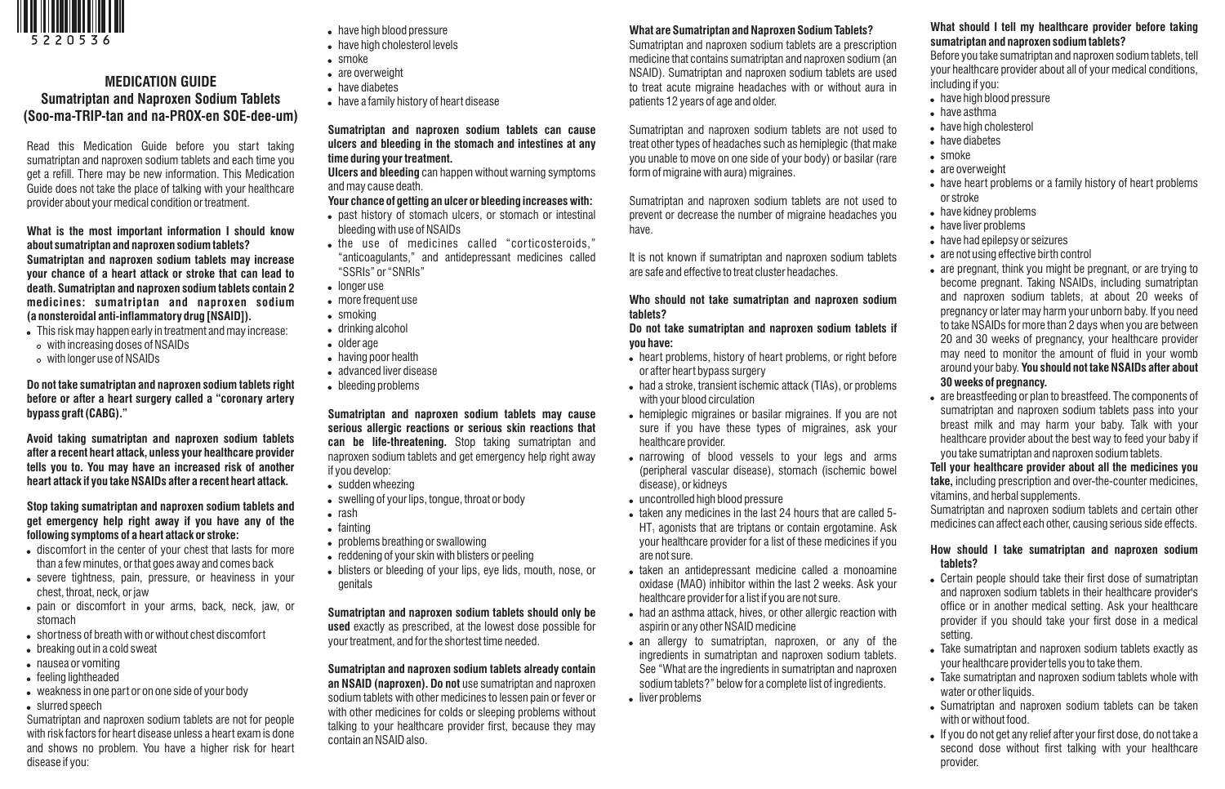

# **MEDICATION GUIDE Sumatriptan and Naproxen Sodium Tablets**

Read this Medication Guide before you start taking sumatriptan and naproxen sodium tablets and each time you get a refill. There may be new information. This Medication Guide does not take the place of talking with your healthcare provider about your medical condition or treatment.

**(Soo-ma-TRIP-tan and na-PROX-en SOE-dee-um)**

**What is the most important information I should know about sumatriptan and naproxen sodium tablets? Sumatriptan and naproxen sodium tablets may increase your chance of a heart attack or stroke that can lead to death. Sumatriptan and naproxen sodium tablets contain 2 medicines: sumatriptan and naproxen sodium (a nonsteroidal anti-inflammatory drug [NSAID]).**

- . This risk may happen early in treatment and may increase:
- o with increasing doses of NSAIDs
- o with longer use of NSAIDs

**Do not take sumatriptan and naproxen sodium tablets right before or after a heart surgery called a "coronary artery bypass graft (CABG)."**

**Avoid taking sumatriptan and naproxen sodium tablets after a recent heart attack, unless your healthcare provider tells you to. You may have an increased risk of another heart attack if you take NSAIDs after a recent heart attack.**

**Stop taking sumatriptan and naproxen sodium tablets and get emergency help right away if you have any of the following symptoms of a heart attack or stroke:**

- discomfort in the center of your chest that lasts for more than a few minutes, or that goes away and comes back
- severe tightness, pain, pressure, or heaviness in your chest, throat, neck, or jaw
- . pain or discomfort in your arms, back, neck, jaw, or stomach
- . shortness of breath with or without chest discomfort
- breaking out in a cold sweat
- nausea or vomiting
- feeling lightheaded
- weakness in one part or on one side of your body
- slurred speech

Sumatriptan and naproxen sodium tablets are not for people with risk factors for heart disease unless a heart exam is done and shows no problem. You have a higher risk for heart disease if you:

- . have high blood pressure
- . have high cholesterol levels
- $\cdot$  smoke
- are overweight
- have diabetes
- . have a family history of heart disease

## **Sumatriptan and naproxen sodium tablets can cause ulcers and bleeding in the stomach and intestines at any time during your treatment.**

**Ulcers and bleeding** can happen without warning symptoms and may cause death.

## **Your chance of getting an ulcer or bleeding increases with:**

- past history of stomach ulcers, or stomach or intestinal bleeding with use of NSAIDs
- . the use of medicines called "corticosteroids," "anticoagulants," and antidepressant medicines called "SSRIs" or "SNRIs"
- longer use
- more frequent use
- $\bullet$  smoking
- drinking alcohol
- . older age
	- having poor health
	- advanced liver disease
	- bleeding problems

**Sumatriptan and naproxen sodium tablets may cause serious allergic reactions or serious skin reactions that can be life-threatening.** Stop taking sumatriptan and naproxen sodium tablets and get emergency help right away if you develop:

- $\bullet$  sudden wheezing
- swelling of your lips, tongue, throat or body
- $\bullet$  rash
- fainting
- problems breathing or swallowing
- . reddening of your skin with blisters or peeling
- blisters or bleeding of your lips, eye lids, mouth, nose, or genitals

**Sumatriptan and naproxen sodium tablets should only be used** exactly as prescribed, at the lowest dose possible for your treatment, and for the shortest time needed.

# **Sumatriptan and naproxen sodium tablets already contain**

**an NSAID (naproxen). Do not** use sumatriptan and naproxen sodium tablets with other medicines to lessen pain or fever or with other medicines for colds or sleeping problems without talking to your healthcare provider first, because they may contain an NSAID also.

## **What are Sumatriptan and Naproxen Sodium Tablets?**

Sumatriptan and naproxen sodium tablets are a prescription medicine that contains sumatriptan and naproxen sodium (an NSAID). Sumatriptan and naproxen sodium tablets are used to treat acute migraine headaches with or without aura in patients 12 years of age and older.

Sumatriptan and naproxen sodium tablets are not used to treat other types of headaches such as hemiplegic (that make you unable to move on one side of your body) or basilar (rare form of migraine with aura) migraines.

Sumatriptan and naproxen sodium tablets are not used to prevent or decrease the number of migraine headaches you have.

It is not known if sumatriptan and naproxen sodium tablets are safe and effective to treat cluster headaches.

#### **Who should not take sumatriptan and naproxen sodium tablets?**

**Do not take sumatriptan and naproxen sodium tablets if you have:**

- . heart problems, history of heart problems, or right before or after heart bypass surgery
- . had a stroke, transient ischemic attack (TIAs), or problems with your blood circulation
- . hemiplegic migraines or basilar migraines. If you are not sure if you have these types of migraines, ask your healthcare provider.
- . narrowing of blood vessels to your legs and arms (peripheral vascular disease), stomach (ischemic bowel disease), or kidneys
- uncontrolled high blood pressure
- taken any medicines in the last 24 hours that are called 5- $HT_1$  agonists that are triptans or contain ergotamine. Ask your healthcare provider for a list of these medicines if you are not sure.
- . taken an antidepressant medicine called a monoamine oxidase (MAO) inhibitor within the last 2 weeks. Ask your healthcare provider for a list if you are not sure.
- . had an asthma attack, hives, or other allergic reaction with aspirin or any other NSAID medicine
- an allergy to sumatriptan, naproxen, or any of the ingredients in sumatriptan and naproxen sodium tablets. See "What are the ingredients in sumatriptan and naproxen sodium tablets?" below for a complete list of ingredients.
- liver problems

# **What should I tell my healthcare provider before taking sumatriptan and naproxen sodium tablets?**

Before you take sumatriptan and naproxen sodium tablets, tell your healthcare provider about all of your medical conditions, including if you:

- . have high blood pressure
- have asthma
- have high cholesterol
- have diabetes
- smoke
- are overweight
- . have heart problems or a family history of heart problems or stroke
- . have kidney problems
- have liver problems
- have had epilepsy or seizures
- are not using effective birth control
- are pregnant, think you might be pregnant, or are trying to become pregnant. Taking NSAIDs, including sumatriptan and naproxen sodium tablets, at about 20 weeks of pregnancy or later may harm your unborn baby. If you need to take NSAIDs for more than 2 days when you are between 20 and 30 weeks of pregnancy, your healthcare provider may need to monitor the amount of fluid in your womb around your baby. **You should not take NSAIDs after about**

# **30 weeks of pregnancy.**

• are breastfeeding or plan to breastfeed. The components of sumatriptan and naproxen sodium tablets pass into your breast milk and may harm your baby. Talk with your healthcare provider about the best way to feed your baby if you take sumatriptan and naproxen sodium tablets.

#### **Tell your healthcare provider about all the medicines you take,** including prescription and over-the-counter medicines, vitamins, and herbal supplements.

Sumatriptan and naproxen sodium tablets and certain other medicines can affect each other, causing serious side effects.

## **How should I take sumatriptan and naproxen sodium tablets?**

- . Certain people should take their first dose of sumatriptan and naproxen sodium tablets in their healthcare provider's office or in another medical setting. Ask your healthcare provider if you should take your first dose in a medical setting.
- . Take sumatriptan and naproxen sodium tablets exactly as your healthcare provider tells you to take them.
- . Take sumatriptan and naproxen sodium tablets whole with water or other liquids.
- . Sumatriptan and naproxen sodium tablets can be taken with or without food.
- If you do not get any relief after your first dose, do not take a second dose without first talking with your healthcare provider.